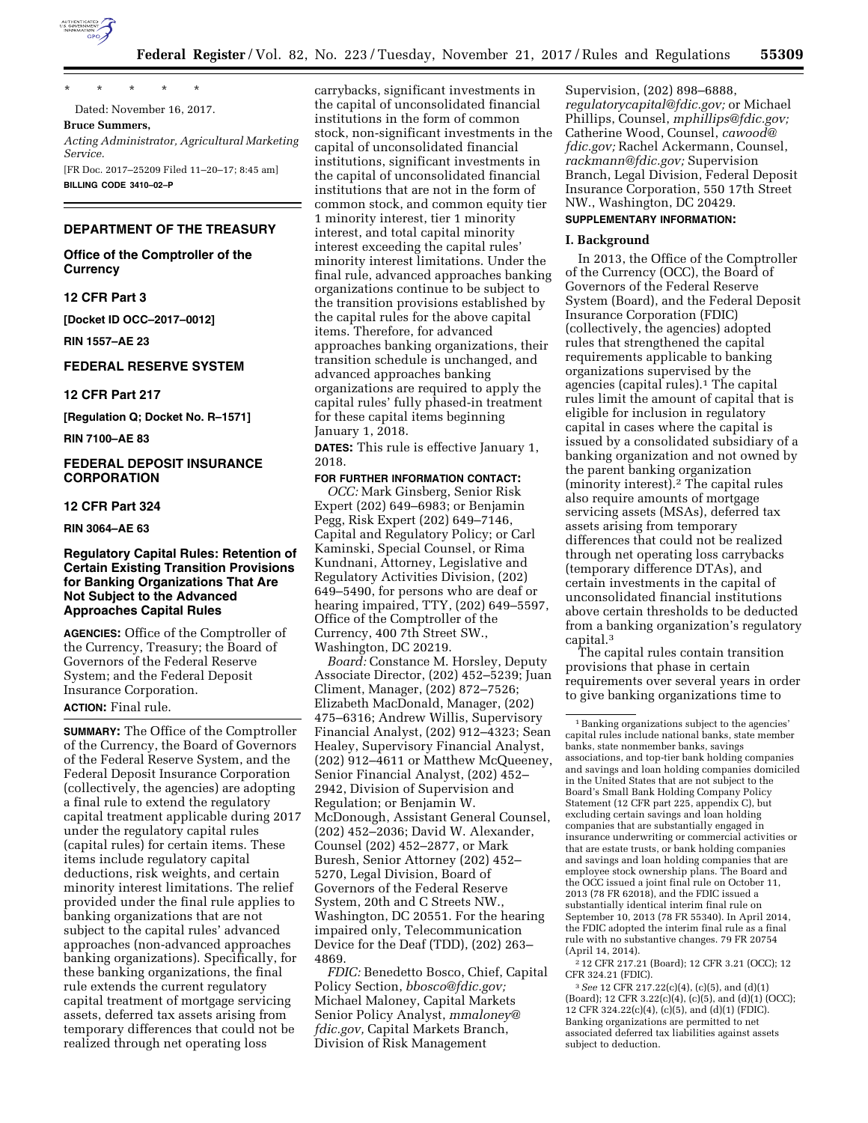

*Service.* 

\* \* \* \* \* Dated: November 16, 2017.

**Bruce Summers,**  *Acting Administrator, Agricultural Marketing* 

[FR Doc. 2017–25209 Filed 11–20–17; 8:45 am] **BILLING CODE 3410–02–P** 

### **DEPARTMENT OF THE TREASURY**

**Office of the Comptroller of the Currency** 

## **12 CFR Part 3**

**[Docket ID OCC–2017–0012]** 

**RIN 1557–AE 23** 

## **FEDERAL RESERVE SYSTEM**

#### **12 CFR Part 217**

**[Regulation Q; Docket No. R–1571]** 

**RIN 7100–AE 83** 

## **FEDERAL DEPOSIT INSURANCE CORPORATION**

## **12 CFR Part 324**

**RIN 3064–AE 63** 

# **Regulatory Capital Rules: Retention of Certain Existing Transition Provisions for Banking Organizations That Are Not Subject to the Advanced Approaches Capital Rules**

**AGENCIES:** Office of the Comptroller of the Currency, Treasury; the Board of Governors of the Federal Reserve System; and the Federal Deposit Insurance Corporation.

# **ACTION:** Final rule.

**SUMMARY:** The Office of the Comptroller of the Currency, the Board of Governors of the Federal Reserve System, and the Federal Deposit Insurance Corporation (collectively, the agencies) are adopting a final rule to extend the regulatory capital treatment applicable during 2017 under the regulatory capital rules (capital rules) for certain items. These items include regulatory capital deductions, risk weights, and certain minority interest limitations. The relief provided under the final rule applies to banking organizations that are not subject to the capital rules' advanced approaches (non-advanced approaches banking organizations). Specifically, for these banking organizations, the final rule extends the current regulatory capital treatment of mortgage servicing assets, deferred tax assets arising from temporary differences that could not be realized through net operating loss

carrybacks, significant investments in the capital of unconsolidated financial institutions in the form of common stock, non-significant investments in the capital of unconsolidated financial institutions, significant investments in the capital of unconsolidated financial institutions that are not in the form of common stock, and common equity tier 1 minority interest, tier 1 minority interest, and total capital minority interest exceeding the capital rules' minority interest limitations. Under the final rule, advanced approaches banking organizations continue to be subject to the transition provisions established by the capital rules for the above capital items. Therefore, for advanced approaches banking organizations, their transition schedule is unchanged, and advanced approaches banking organizations are required to apply the capital rules' fully phased-in treatment for these capital items beginning January 1, 2018.

**DATES:** This rule is effective January 1, 2018.

#### **FOR FURTHER INFORMATION CONTACT:**

*OCC:* Mark Ginsberg, Senior Risk Expert (202) 649–6983; or Benjamin Pegg, Risk Expert (202) 649–7146, Capital and Regulatory Policy; or Carl Kaminski, Special Counsel, or Rima Kundnani, Attorney, Legislative and Regulatory Activities Division, (202) 649–5490, for persons who are deaf or hearing impaired, TTY, (202) 649–5597, Office of the Comptroller of the Currency, 400 7th Street SW., Washington, DC 20219.

*Board:* Constance M. Horsley, Deputy Associate Director, (202) 452–5239; Juan Climent, Manager, (202) 872–7526; Elizabeth MacDonald, Manager, (202) 475–6316; Andrew Willis, Supervisory Financial Analyst, (202) 912–4323; Sean Healey, Supervisory Financial Analyst, (202) 912–4611 or Matthew McQueeney, Senior Financial Analyst, (202) 452– 2942, Division of Supervision and Regulation; or Benjamin W. McDonough, Assistant General Counsel, (202) 452–2036; David W. Alexander, Counsel (202) 452–2877, or Mark Buresh, Senior Attorney (202) 452– 5270, Legal Division, Board of Governors of the Federal Reserve System, 20th and C Streets NW., Washington, DC 20551. For the hearing impaired only, Telecommunication Device for the Deaf (TDD), (202) 263– 4869.

*FDIC:* Benedetto Bosco, Chief, Capital Policy Section, *[bbosco@fdic.gov;](mailto:bbosco@fdic.gov)*  Michael Maloney, Capital Markets Senior Policy Analyst, *[mmaloney@](mailto:mmaloney@fdic.gov) fdic.gov*, Capital Markets Branch, Division of Risk Management

Supervision, (202) 898–6888, *[regulatorycapital@fdic.gov;](mailto:regulatorycapital@fdic.gov)* or Michael Phillips, Counsel, *[mphillips@fdic.gov;](mailto:mphillips@fdic.gov)*  Catherine Wood, Counsel, *[cawood@](mailto:cawood@fdic.gov) [fdic.gov;](mailto:cawood@fdic.gov)* Rachel Ackermann, Counsel, *[rackmann@fdic.gov;](mailto:rackmann@fdic.gov)* Supervision Branch, Legal Division, Federal Deposit Insurance Corporation, 550 17th Street NW., Washington, DC 20429.

# **SUPPLEMENTARY INFORMATION:**

## **I. Background**

In 2013, the Office of the Comptroller of the Currency (OCC), the Board of Governors of the Federal Reserve System (Board), and the Federal Deposit Insurance Corporation (FDIC) (collectively, the agencies) adopted rules that strengthened the capital requirements applicable to banking organizations supervised by the agencies (capital rules).1 The capital rules limit the amount of capital that is eligible for inclusion in regulatory capital in cases where the capital is issued by a consolidated subsidiary of a banking organization and not owned by the parent banking organization (minority interest).2 The capital rules also require amounts of mortgage servicing assets (MSAs), deferred tax assets arising from temporary differences that could not be realized through net operating loss carrybacks (temporary difference DTAs), and certain investments in the capital of unconsolidated financial institutions above certain thresholds to be deducted from a banking organization's regulatory capital.3

The capital rules contain transition provisions that phase in certain requirements over several years in order to give banking organizations time to

2 12 CFR 217.21 (Board); 12 CFR 3.21 (OCC); 12 CFR 324.21 (FDIC).

3*See* 12 CFR 217.22(c)(4), (c)(5), and (d)(1) (Board); 12 CFR 3.22(c)(4), (c)(5), and (d)(1) (OCC); 12 CFR 324.22(c)(4), (c)(5), and (d)(1) (FDIC). Banking organizations are permitted to net associated deferred tax liabilities against assets subject to deduction.

 $^{\rm 1}$  Banking organizations subject to the agencies' capital rules include national banks, state member banks, state nonmember banks, savings associations, and top-tier bank holding companies and savings and loan holding companies domiciled in the United States that are not subject to the Board's Small Bank Holding Company Policy Statement (12 CFR part 225, appendix C), but excluding certain savings and loan holding companies that are substantially engaged in insurance underwriting or commercial activities or that are estate trusts, or bank holding companies and savings and loan holding companies that are employee stock ownership plans. The Board and the OCC issued a joint final rule on October 11, 2013 (78 FR 62018), and the FDIC issued a substantially identical interim final rule on September 10, 2013 (78 FR 55340). In April 2014, the FDIC adopted the interim final rule as a final rule with no substantive changes. 79 FR 20754 (April 14, 2014).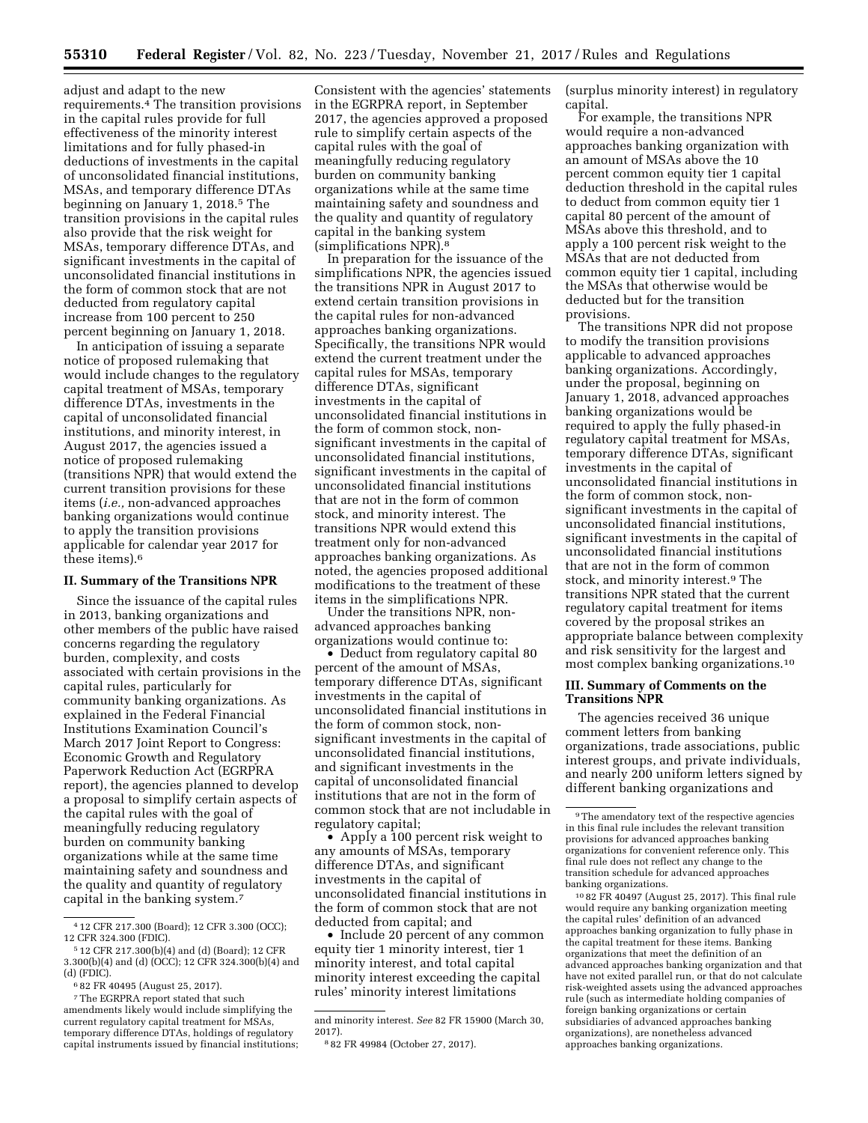adjust and adapt to the new requirements.4 The transition provisions in the capital rules provide for full effectiveness of the minority interest limitations and for fully phased-in deductions of investments in the capital of unconsolidated financial institutions, MSAs, and temporary difference DTAs beginning on January 1, 2018.5 The transition provisions in the capital rules also provide that the risk weight for MSAs, temporary difference DTAs, and significant investments in the capital of unconsolidated financial institutions in the form of common stock that are not deducted from regulatory capital increase from 100 percent to 250 percent beginning on January 1, 2018.

In anticipation of issuing a separate notice of proposed rulemaking that would include changes to the regulatory capital treatment of MSAs, temporary difference DTAs, investments in the capital of unconsolidated financial institutions, and minority interest, in August 2017, the agencies issued a notice of proposed rulemaking (transitions NPR) that would extend the current transition provisions for these items (*i.e.,* non-advanced approaches banking organizations would continue to apply the transition provisions applicable for calendar year 2017 for these items).6

#### **II. Summary of the Transitions NPR**

Since the issuance of the capital rules in 2013, banking organizations and other members of the public have raised concerns regarding the regulatory burden, complexity, and costs associated with certain provisions in the capital rules, particularly for community banking organizations. As explained in the Federal Financial Institutions Examination Council's March 2017 Joint Report to Congress: Economic Growth and Regulatory Paperwork Reduction Act (EGRPRA report), the agencies planned to develop a proposal to simplify certain aspects of the capital rules with the goal of meaningfully reducing regulatory burden on community banking organizations while at the same time maintaining safety and soundness and the quality and quantity of regulatory capital in the banking system.7

Consistent with the agencies' statements in the EGRPRA report, in September 2017, the agencies approved a proposed rule to simplify certain aspects of the capital rules with the goal of meaningfully reducing regulatory burden on community banking organizations while at the same time maintaining safety and soundness and the quality and quantity of regulatory capital in the banking system (simplifications NPR).8

In preparation for the issuance of the simplifications NPR, the agencies issued the transitions NPR in August 2017 to extend certain transition provisions in the capital rules for non-advanced approaches banking organizations. Specifically, the transitions NPR would extend the current treatment under the capital rules for MSAs, temporary difference DTAs, significant investments in the capital of unconsolidated financial institutions in the form of common stock, nonsignificant investments in the capital of unconsolidated financial institutions, significant investments in the capital of unconsolidated financial institutions that are not in the form of common stock, and minority interest. The transitions NPR would extend this treatment only for non-advanced approaches banking organizations. As noted, the agencies proposed additional modifications to the treatment of these items in the simplifications NPR.

Under the transitions NPR, nonadvanced approaches banking organizations would continue to:

• Deduct from regulatory capital 80 percent of the amount of MSAs, temporary difference DTAs, significant investments in the capital of unconsolidated financial institutions in the form of common stock, nonsignificant investments in the capital of unconsolidated financial institutions, and significant investments in the capital of unconsolidated financial institutions that are not in the form of common stock that are not includable in regulatory capital;

• Apply a 100 percent risk weight to any amounts of MSAs, temporary difference DTAs, and significant investments in the capital of unconsolidated financial institutions in the form of common stock that are not deducted from capital; and

• Include 20 percent of any common equity tier 1 minority interest, tier 1 minority interest, and total capital minority interest exceeding the capital rules' minority interest limitations

(surplus minority interest) in regulatory capital.

For example, the transitions NPR would require a non-advanced approaches banking organization with an amount of MSAs above the 10 percent common equity tier 1 capital deduction threshold in the capital rules to deduct from common equity tier 1 capital 80 percent of the amount of MSAs above this threshold, and to apply a 100 percent risk weight to the MSAs that are not deducted from common equity tier 1 capital, including the MSAs that otherwise would be deducted but for the transition provisions.

The transitions NPR did not propose to modify the transition provisions applicable to advanced approaches banking organizations. Accordingly, under the proposal, beginning on January 1, 2018, advanced approaches banking organizations would be required to apply the fully phased-in regulatory capital treatment for MSAs, temporary difference DTAs, significant investments in the capital of unconsolidated financial institutions in the form of common stock, nonsignificant investments in the capital of unconsolidated financial institutions, significant investments in the capital of unconsolidated financial institutions that are not in the form of common stock, and minority interest.9 The transitions NPR stated that the current regulatory capital treatment for items covered by the proposal strikes an appropriate balance between complexity and risk sensitivity for the largest and most complex banking organizations.10

## **III. Summary of Comments on the Transitions NPR**

The agencies received 36 unique comment letters from banking organizations, trade associations, public interest groups, and private individuals, and nearly 200 uniform letters signed by different banking organizations and

10 82 FR 40497 (August 25, 2017). This final rule would require any banking organization meeting the capital rules' definition of an advanced approaches banking organization to fully phase in the capital treatment for these items. Banking organizations that meet the definition of an advanced approaches banking organization and that have not exited parallel run, or that do not calculate risk-weighted assets using the advanced approaches rule (such as intermediate holding companies of foreign banking organizations or certain subsidiaries of advanced approaches banking organizations), are nonetheless advanced approaches banking organizations.

<sup>4</sup> 12 CFR 217.300 (Board); 12 CFR 3.300 (OCC); 12 CFR 324.300 (FDIC).

<sup>5</sup> 12 CFR 217.300(b)(4) and (d) (Board); 12 CFR 3.300(b)(4) and (d) (OCC); 12 CFR 324.300(b)(4) and (d) (FDIC).

<sup>6</sup> 82 FR 40495 (August 25, 2017).

<sup>7</sup>The EGRPRA report stated that such amendments likely would include simplifying the current regulatory capital treatment for MSAs, temporary difference DTAs, holdings of regulatory capital instruments issued by financial institutions;

and minority interest. *See* 82 FR 15900 (March 30, 2017).

<sup>8</sup> 82 FR 49984 (October 27, 2017).

<sup>9</sup>The amendatory text of the respective agencies in this final rule includes the relevant transition provisions for advanced approaches banking organizations for convenient reference only. This final rule does not reflect any change to the transition schedule for advanced approaches banking organizations.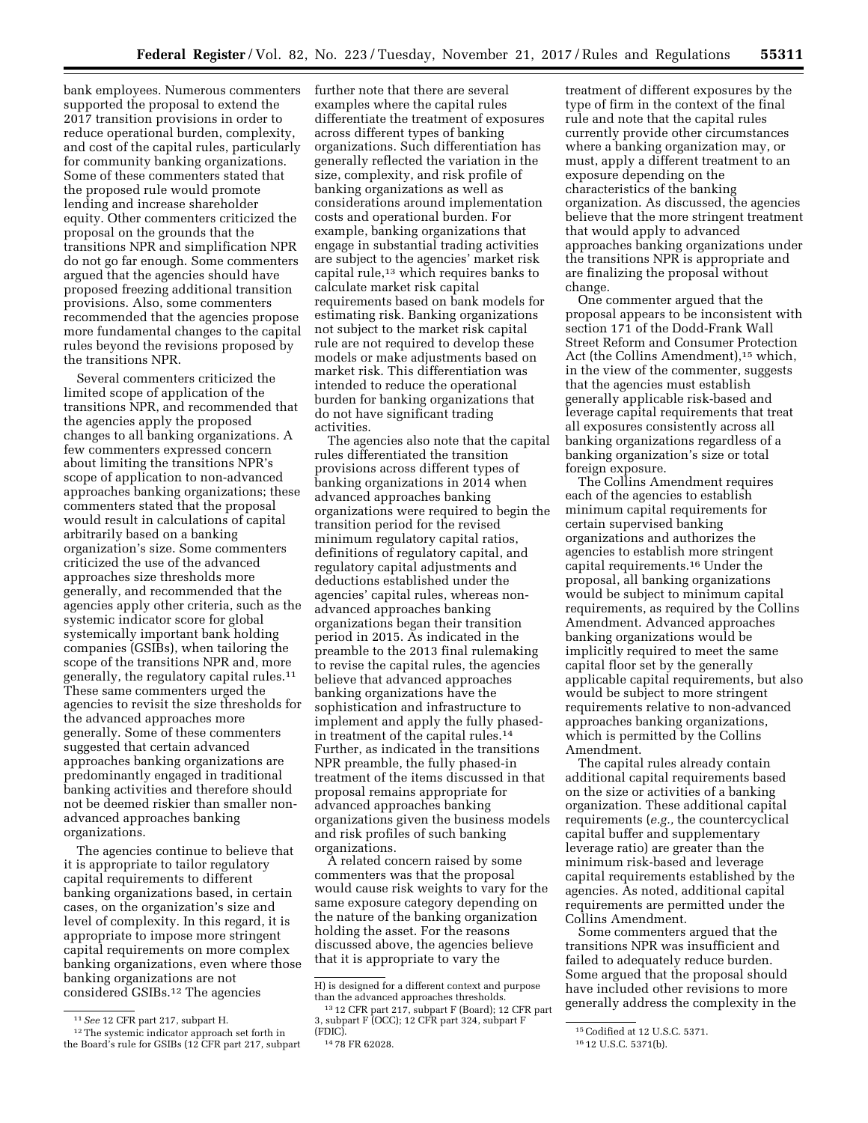bank employees. Numerous commenters supported the proposal to extend the 2017 transition provisions in order to reduce operational burden, complexity, and cost of the capital rules, particularly for community banking organizations. Some of these commenters stated that the proposed rule would promote lending and increase shareholder equity. Other commenters criticized the proposal on the grounds that the transitions NPR and simplification NPR do not go far enough. Some commenters argued that the agencies should have proposed freezing additional transition provisions. Also, some commenters recommended that the agencies propose more fundamental changes to the capital rules beyond the revisions proposed by the transitions NPR.

Several commenters criticized the limited scope of application of the transitions NPR, and recommended that the agencies apply the proposed changes to all banking organizations. A few commenters expressed concern about limiting the transitions NPR's scope of application to non-advanced approaches banking organizations; these commenters stated that the proposal would result in calculations of capital arbitrarily based on a banking organization's size. Some commenters criticized the use of the advanced approaches size thresholds more generally, and recommended that the agencies apply other criteria, such as the systemic indicator score for global systemically important bank holding companies (GSIBs), when tailoring the scope of the transitions NPR and, more generally, the regulatory capital rules.11 These same commenters urged the agencies to revisit the size thresholds for the advanced approaches more generally. Some of these commenters suggested that certain advanced approaches banking organizations are predominantly engaged in traditional banking activities and therefore should not be deemed riskier than smaller nonadvanced approaches banking organizations.

The agencies continue to believe that it is appropriate to tailor regulatory capital requirements to different banking organizations based, in certain cases, on the organization's size and level of complexity. In this regard, it is appropriate to impose more stringent capital requirements on more complex banking organizations, even where those banking organizations are not considered GSIBs.12 The agencies

further note that there are several examples where the capital rules differentiate the treatment of exposures across different types of banking organizations. Such differentiation has generally reflected the variation in the size, complexity, and risk profile of banking organizations as well as considerations around implementation costs and operational burden. For example, banking organizations that engage in substantial trading activities are subject to the agencies' market risk capital rule,13 which requires banks to calculate market risk capital requirements based on bank models for estimating risk. Banking organizations not subject to the market risk capital rule are not required to develop these models or make adjustments based on market risk. This differentiation was intended to reduce the operational burden for banking organizations that do not have significant trading activities.

The agencies also note that the capital rules differentiated the transition provisions across different types of banking organizations in 2014 when advanced approaches banking organizations were required to begin the transition period for the revised minimum regulatory capital ratios, definitions of regulatory capital, and regulatory capital adjustments and deductions established under the agencies' capital rules, whereas nonadvanced approaches banking organizations began their transition period in 2015. As indicated in the preamble to the 2013 final rulemaking to revise the capital rules, the agencies believe that advanced approaches banking organizations have the sophistication and infrastructure to implement and apply the fully phasedin treatment of the capital rules.14 Further, as indicated in the transitions NPR preamble, the fully phased-in treatment of the items discussed in that proposal remains appropriate for advanced approaches banking organizations given the business models and risk profiles of such banking organizations.

A related concern raised by some commenters was that the proposal would cause risk weights to vary for the same exposure category depending on the nature of the banking organization holding the asset. For the reasons discussed above, the agencies believe that it is appropriate to vary the

treatment of different exposures by the type of firm in the context of the final rule and note that the capital rules currently provide other circumstances where a banking organization may, or must, apply a different treatment to an exposure depending on the characteristics of the banking organization. As discussed, the agencies believe that the more stringent treatment that would apply to advanced approaches banking organizations under the transitions NPR is appropriate and are finalizing the proposal without change.

One commenter argued that the proposal appears to be inconsistent with section 171 of the Dodd-Frank Wall Street Reform and Consumer Protection Act (the Collins Amendment),<sup>15</sup> which, in the view of the commenter, suggests that the agencies must establish generally applicable risk-based and leverage capital requirements that treat all exposures consistently across all banking organizations regardless of a banking organization's size or total foreign exposure.

The Collins Amendment requires each of the agencies to establish minimum capital requirements for certain supervised banking organizations and authorizes the agencies to establish more stringent capital requirements.16 Under the proposal, all banking organizations would be subject to minimum capital requirements, as required by the Collins Amendment. Advanced approaches banking organizations would be implicitly required to meet the same capital floor set by the generally applicable capital requirements, but also would be subject to more stringent requirements relative to non-advanced approaches banking organizations, which is permitted by the Collins Amendment.

The capital rules already contain additional capital requirements based on the size or activities of a banking organization. These additional capital requirements (*e.g.,* the countercyclical capital buffer and supplementary leverage ratio) are greater than the minimum risk-based and leverage capital requirements established by the agencies. As noted, additional capital requirements are permitted under the Collins Amendment.

Some commenters argued that the transitions NPR was insufficient and failed to adequately reduce burden. Some argued that the proposal should have included other revisions to more generally address the complexity in the

<sup>11</sup>*See* 12 CFR part 217, subpart H.

<sup>12</sup>The systemic indicator approach set forth in the Board's rule for GSIBs (12 CFR part 217, subpart

H) is designed for a different context and purpose than the advanced approaches thresholds. 13 12 CFR part 217, subpart F (Board); 12 CFR part

<sup>3,</sup> subpart F (OCC); 12 CFR part 324, subpart F

<sup>14 78</sup> FR 62028.

<sup>15</sup>Codified at 12 U.S.C. 5371.

<sup>16</sup> 12 U.S.C. 5371(b).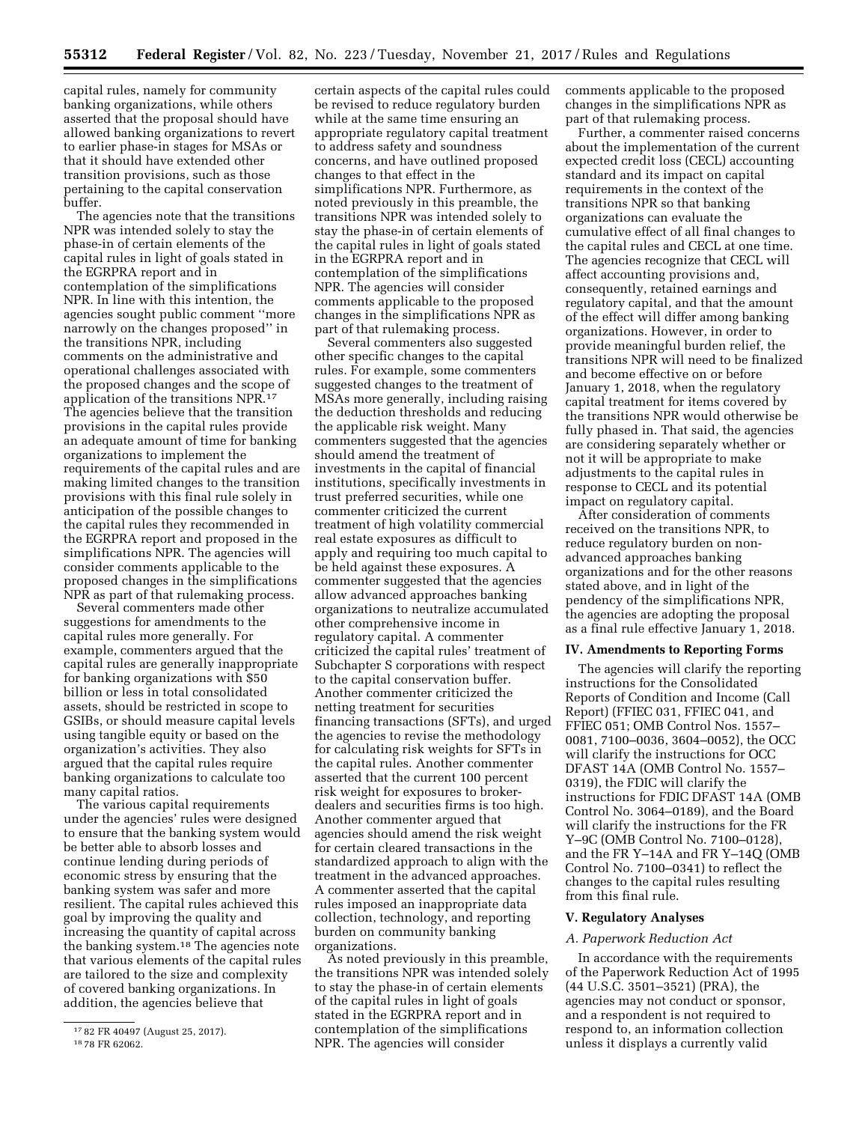capital rules, namely for community banking organizations, while others asserted that the proposal should have allowed banking organizations to revert to earlier phase-in stages for MSAs or that it should have extended other transition provisions, such as those pertaining to the capital conservation buffer.

The agencies note that the transitions NPR was intended solely to stay the phase-in of certain elements of the capital rules in light of goals stated in the EGRPRA report and in contemplation of the simplifications NPR. In line with this intention, the agencies sought public comment ''more narrowly on the changes proposed'' in the transitions NPR, including comments on the administrative and operational challenges associated with the proposed changes and the scope of application of the transitions NPR.17 The agencies believe that the transition provisions in the capital rules provide an adequate amount of time for banking organizations to implement the requirements of the capital rules and are making limited changes to the transition provisions with this final rule solely in anticipation of the possible changes to the capital rules they recommended in the EGRPRA report and proposed in the simplifications NPR. The agencies will consider comments applicable to the proposed changes in the simplifications NPR as part of that rulemaking process.

Several commenters made other suggestions for amendments to the capital rules more generally. For example, commenters argued that the capital rules are generally inappropriate for banking organizations with \$50 billion or less in total consolidated assets, should be restricted in scope to GSIBs, or should measure capital levels using tangible equity or based on the organization's activities. They also argued that the capital rules require banking organizations to calculate too many capital ratios.

The various capital requirements under the agencies' rules were designed to ensure that the banking system would be better able to absorb losses and continue lending during periods of economic stress by ensuring that the banking system was safer and more resilient. The capital rules achieved this goal by improving the quality and increasing the quantity of capital across the banking system.18 The agencies note that various elements of the capital rules are tailored to the size and complexity of covered banking organizations. In addition, the agencies believe that

certain aspects of the capital rules could be revised to reduce regulatory burden while at the same time ensuring an appropriate regulatory capital treatment to address safety and soundness concerns, and have outlined proposed changes to that effect in the simplifications NPR. Furthermore, as noted previously in this preamble, the transitions NPR was intended solely to stay the phase-in of certain elements of the capital rules in light of goals stated in the EGRPRA report and in contemplation of the simplifications NPR. The agencies will consider comments applicable to the proposed changes in the simplifications NPR as part of that rulemaking process.

Several commenters also suggested other specific changes to the capital rules. For example, some commenters suggested changes to the treatment of MSAs more generally, including raising the deduction thresholds and reducing the applicable risk weight. Many commenters suggested that the agencies should amend the treatment of investments in the capital of financial institutions, specifically investments in trust preferred securities, while one commenter criticized the current treatment of high volatility commercial real estate exposures as difficult to apply and requiring too much capital to be held against these exposures. A commenter suggested that the agencies allow advanced approaches banking organizations to neutralize accumulated other comprehensive income in regulatory capital. A commenter criticized the capital rules' treatment of Subchapter S corporations with respect to the capital conservation buffer. Another commenter criticized the netting treatment for securities financing transactions (SFTs), and urged the agencies to revise the methodology for calculating risk weights for SFTs in the capital rules. Another commenter asserted that the current 100 percent risk weight for exposures to brokerdealers and securities firms is too high. Another commenter argued that agencies should amend the risk weight for certain cleared transactions in the standardized approach to align with the treatment in the advanced approaches. A commenter asserted that the capital rules imposed an inappropriate data collection, technology, and reporting burden on community banking organizations.

As noted previously in this preamble, the transitions NPR was intended solely to stay the phase-in of certain elements of the capital rules in light of goals stated in the EGRPRA report and in contemplation of the simplifications NPR. The agencies will consider

comments applicable to the proposed changes in the simplifications NPR as part of that rulemaking process.

Further, a commenter raised concerns about the implementation of the current expected credit loss (CECL) accounting standard and its impact on capital requirements in the context of the transitions NPR so that banking organizations can evaluate the cumulative effect of all final changes to the capital rules and CECL at one time. The agencies recognize that CECL will affect accounting provisions and, consequently, retained earnings and regulatory capital, and that the amount of the effect will differ among banking organizations. However, in order to provide meaningful burden relief, the transitions NPR will need to be finalized and become effective on or before January 1, 2018, when the regulatory capital treatment for items covered by the transitions NPR would otherwise be fully phased in. That said, the agencies are considering separately whether or not it will be appropriate to make adjustments to the capital rules in response to CECL and its potential impact on regulatory capital.

After consideration of comments received on the transitions NPR, to reduce regulatory burden on nonadvanced approaches banking organizations and for the other reasons stated above, and in light of the pendency of the simplifications NPR, the agencies are adopting the proposal as a final rule effective January 1, 2018.

#### **IV. Amendments to Reporting Forms**

The agencies will clarify the reporting instructions for the Consolidated Reports of Condition and Income (Call Report) (FFIEC 031, FFIEC 041, and FFIEC 051; OMB Control Nos. 1557– 0081, 7100–0036, 3604–0052), the OCC will clarify the instructions for OCC DFAST 14A (OMB Control No. 1557– 0319), the FDIC will clarify the instructions for FDIC DFAST 14A (OMB Control No. 3064–0189), and the Board will clarify the instructions for the FR Y–9C (OMB Control No. 7100–0128), and the FR Y–14A and FR Y–14Q (OMB Control No. 7100–0341) to reflect the changes to the capital rules resulting from this final rule.

#### **V. Regulatory Analyses**

#### *A. Paperwork Reduction Act*

In accordance with the requirements of the Paperwork Reduction Act of 1995 (44 U.S.C. 3501–3521) (PRA), the agencies may not conduct or sponsor, and a respondent is not required to respond to, an information collection unless it displays a currently valid

<sup>17</sup> 82 FR 40497 (August 25, 2017). 18 78 FR 62062.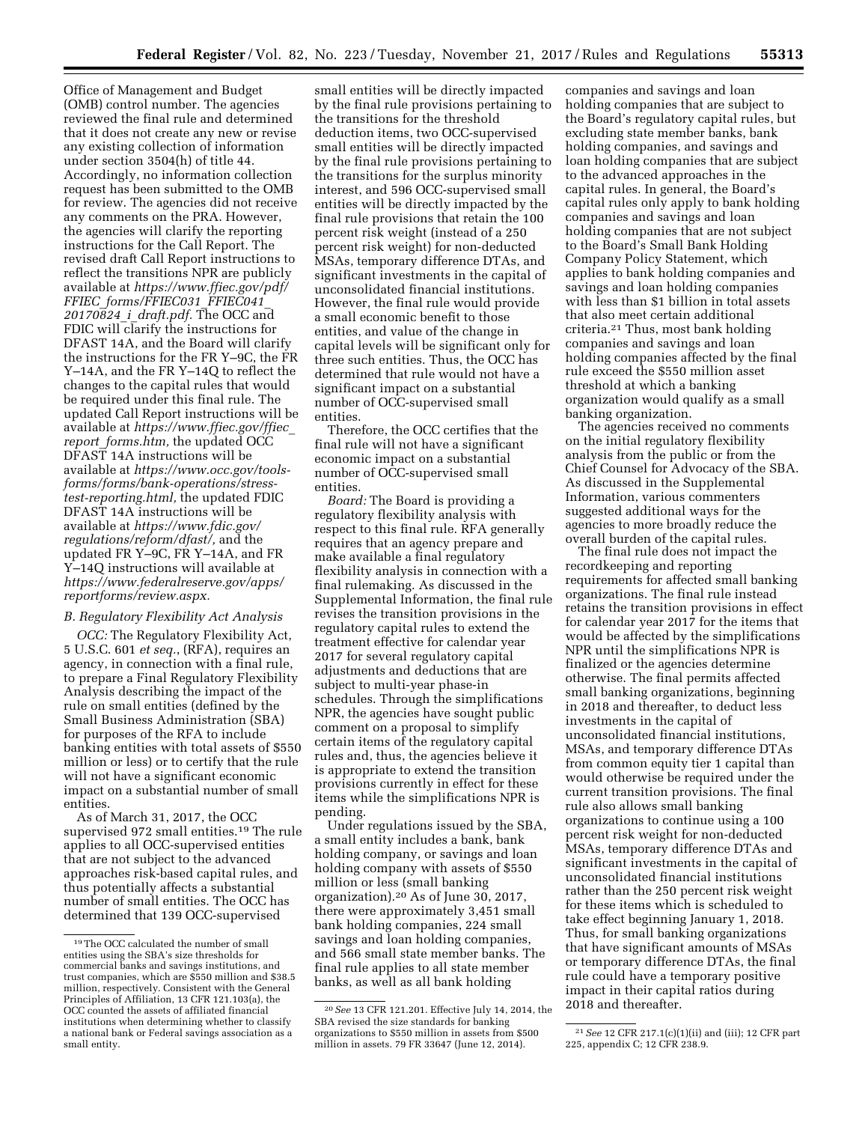Office of Management and Budget (OMB) control number. The agencies reviewed the final rule and determined that it does not create any new or revise any existing collection of information under section 3504(h) of title 44. Accordingly, no information collection request has been submitted to the OMB for review. The agencies did not receive any comments on the PRA. However, the agencies will clarify the reporting instructions for the Call Report. The revised draft Call Report instructions to reflect the transitions NPR are publicly available at *[https://www.ffiec.gov/pdf/](https://www.ffiec.gov/pdf/FFIEC_forms/FFIEC031_FFIEC041_20170824_i_draft.pdf) FFIEC*\_*[forms/FFIEC031](https://www.ffiec.gov/pdf/FFIEC_forms/FFIEC031_FFIEC041_20170824_i_draft.pdf)*\_*FFIEC041*\_ *[20170824](https://www.ffiec.gov/pdf/FFIEC_forms/FFIEC031_FFIEC041_20170824_i_draft.pdf)*\_*i*\_*draft.pdf.* The OCC and FDIC will clarify the instructions for DFAST 14A, and the Board will clarify the instructions for the FR Y–9C, the FR Y–14A, and the FR Y–14Q to reflect the changes to the capital rules that would be required under this final rule. The updated Call Report instructions will be available at *[https://www.ffiec.gov/ffiec](https://www.ffiec.gov/ffiec_report_forms.htm)*\_ *report*\_*[forms.htm,](https://www.ffiec.gov/ffiec_report_forms.htm)* the updated OCC DFAST 14A instructions will be available at *[https://www.occ.gov/tools](https://www.occ.gov/tools-forms/forms/bank-operations/stress-test-reporting.html)[forms/forms/bank-operations/stress](https://www.occ.gov/tools-forms/forms/bank-operations/stress-test-reporting.html)[test-reporting.html,](https://www.occ.gov/tools-forms/forms/bank-operations/stress-test-reporting.html)* the updated FDIC DFAST 14A instructions will be available at *[https://www.fdic.gov/](https://www.fdic.gov/regulations/reform/dfast/)  [regulations/reform/dfast/,](https://www.fdic.gov/regulations/reform/dfast/)* and the updated FR Y–9C, FR Y–14A, and FR Y–14Q instructions will available at *[https://www.federalreserve.gov/apps/](https://www.federalreserve.gov/apps/reportforms/review.aspx) [reportforms/review.aspx.](https://www.federalreserve.gov/apps/reportforms/review.aspx)* 

# *B. Regulatory Flexibility Act Analysis*

*OCC:* The Regulatory Flexibility Act, 5 U.S.C. 601 *et seq.*, (RFA), requires an agency, in connection with a final rule, to prepare a Final Regulatory Flexibility Analysis describing the impact of the rule on small entities (defined by the Small Business Administration (SBA) for purposes of the RFA to include banking entities with total assets of \$550 million or less) or to certify that the rule will not have a significant economic impact on a substantial number of small entities.

As of March 31, 2017, the OCC supervised 972 small entities.19 The rule applies to all OCC-supervised entities that are not subject to the advanced approaches risk-based capital rules, and thus potentially affects a substantial number of small entities. The OCC has determined that 139 OCC-supervised

small entities will be directly impacted by the final rule provisions pertaining to the transitions for the threshold deduction items, two OCC-supervised small entities will be directly impacted by the final rule provisions pertaining to the transitions for the surplus minority interest, and 596 OCC-supervised small entities will be directly impacted by the final rule provisions that retain the 100 percent risk weight (instead of a 250 percent risk weight) for non-deducted MSAs, temporary difference DTAs, and significant investments in the capital of unconsolidated financial institutions. However, the final rule would provide a small economic benefit to those entities, and value of the change in capital levels will be significant only for three such entities. Thus, the OCC has determined that rule would not have a significant impact on a substantial number of OCC-supervised small entities.

Therefore, the OCC certifies that the final rule will not have a significant economic impact on a substantial number of OCC-supervised small entities.

*Board:* The Board is providing a regulatory flexibility analysis with respect to this final rule. RFA generally requires that an agency prepare and make available a final regulatory flexibility analysis in connection with a final rulemaking. As discussed in the Supplemental Information, the final rule revises the transition provisions in the regulatory capital rules to extend the treatment effective for calendar year 2017 for several regulatory capital adjustments and deductions that are subject to multi-year phase-in schedules. Through the simplifications NPR, the agencies have sought public comment on a proposal to simplify certain items of the regulatory capital rules and, thus, the agencies believe it is appropriate to extend the transition provisions currently in effect for these items while the simplifications NPR is pending.

Under regulations issued by the SBA, a small entity includes a bank, bank holding company, or savings and loan holding company with assets of \$550 million or less (small banking organization).20 As of June 30, 2017, there were approximately 3,451 small bank holding companies, 224 small savings and loan holding companies, and 566 small state member banks. The final rule applies to all state member banks, as well as all bank holding

companies and savings and loan holding companies that are subject to the Board's regulatory capital rules, but excluding state member banks, bank holding companies, and savings and loan holding companies that are subject to the advanced approaches in the capital rules. In general, the Board's capital rules only apply to bank holding companies and savings and loan holding companies that are not subject to the Board's Small Bank Holding Company Policy Statement, which applies to bank holding companies and savings and loan holding companies with less than \$1 billion in total assets that also meet certain additional criteria.21 Thus, most bank holding companies and savings and loan holding companies affected by the final rule exceed the \$550 million asset threshold at which a banking organization would qualify as a small banking organization.

The agencies received no comments on the initial regulatory flexibility analysis from the public or from the Chief Counsel for Advocacy of the SBA. As discussed in the Supplemental Information, various commenters suggested additional ways for the agencies to more broadly reduce the overall burden of the capital rules.

The final rule does not impact the recordkeeping and reporting requirements for affected small banking organizations. The final rule instead retains the transition provisions in effect for calendar year 2017 for the items that would be affected by the simplifications NPR until the simplifications NPR is finalized or the agencies determine otherwise. The final permits affected small banking organizations, beginning in 2018 and thereafter, to deduct less investments in the capital of unconsolidated financial institutions, MSAs, and temporary difference DTAs from common equity tier 1 capital than would otherwise be required under the current transition provisions. The final rule also allows small banking organizations to continue using a 100 percent risk weight for non-deducted MSAs, temporary difference DTAs and significant investments in the capital of unconsolidated financial institutions rather than the 250 percent risk weight for these items which is scheduled to take effect beginning January 1, 2018. Thus, for small banking organizations that have significant amounts of MSAs or temporary difference DTAs, the final rule could have a temporary positive impact in their capital ratios during 2018 and thereafter.

<sup>19</sup>The OCC calculated the number of small entities using the SBA's size thresholds for commercial banks and savings institutions, and trust companies, which are \$550 million and \$38.5 million, respectively. Consistent with the General Principles of Affiliation, 13 CFR 121.103(a), the OCC counted the assets of affiliated financial institutions when determining whether to classify a national bank or Federal savings association as a small entity.

<sup>20</sup>*See* 13 CFR 121.201. Effective July 14, 2014, the SBA revised the size standards for banking organizations to \$550 million in assets from \$500 million in assets. 79 FR 33647 (June 12, 2014).

<sup>21</sup>*See* 12 CFR 217.1(c)(1)(ii) and (iii); 12 CFR part 225, appendix C; 12 CFR 238.9.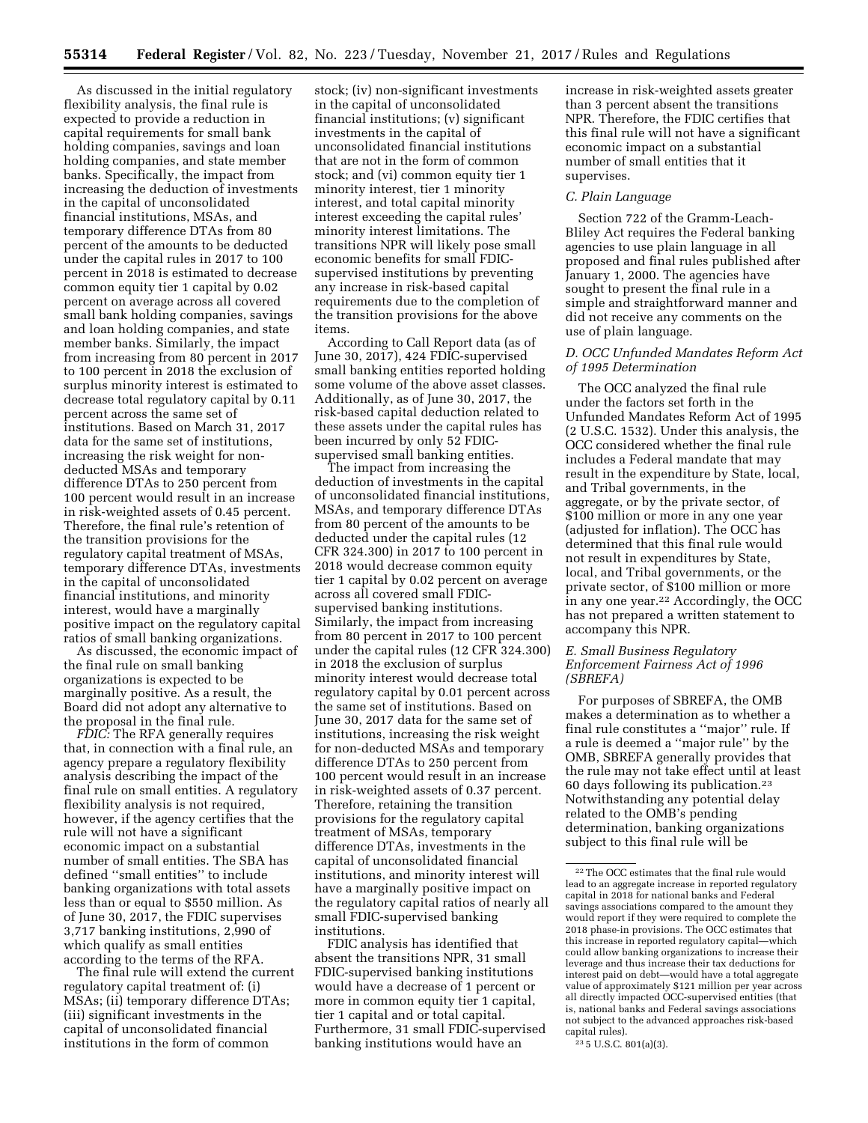As discussed in the initial regulatory flexibility analysis, the final rule is expected to provide a reduction in capital requirements for small bank holding companies, savings and loan holding companies, and state member banks. Specifically, the impact from increasing the deduction of investments in the capital of unconsolidated financial institutions, MSAs, and temporary difference DTAs from 80 percent of the amounts to be deducted under the capital rules in 2017 to 100 percent in 2018 is estimated to decrease common equity tier 1 capital by 0.02 percent on average across all covered small bank holding companies, savings and loan holding companies, and state member banks. Similarly, the impact from increasing from 80 percent in 2017 to 100 percent in 2018 the exclusion of surplus minority interest is estimated to decrease total regulatory capital by 0.11 percent across the same set of institutions. Based on March 31, 2017 data for the same set of institutions, increasing the risk weight for nondeducted MSAs and temporary difference DTAs to 250 percent from 100 percent would result in an increase in risk-weighted assets of 0.45 percent. Therefore, the final rule's retention of the transition provisions for the regulatory capital treatment of MSAs, temporary difference DTAs, investments in the capital of unconsolidated financial institutions, and minority interest, would have a marginally positive impact on the regulatory capital ratios of small banking organizations.

As discussed, the economic impact of the final rule on small banking organizations is expected to be marginally positive. As a result, the Board did not adopt any alternative to the proposal in the final rule.

*FDIC:* The RFA generally requires that, in connection with a final rule, an agency prepare a regulatory flexibility analysis describing the impact of the final rule on small entities. A regulatory flexibility analysis is not required, however, if the agency certifies that the rule will not have a significant economic impact on a substantial number of small entities. The SBA has defined ''small entities'' to include banking organizations with total assets less than or equal to \$550 million. As of June 30, 2017, the FDIC supervises 3,717 banking institutions, 2,990 of which qualify as small entities according to the terms of the RFA.

The final rule will extend the current regulatory capital treatment of: (i) MSAs; (ii) temporary difference DTAs; (iii) significant investments in the capital of unconsolidated financial institutions in the form of common

stock; (iv) non-significant investments in the capital of unconsolidated financial institutions; (v) significant investments in the capital of unconsolidated financial institutions that are not in the form of common stock; and (vi) common equity tier 1 minority interest, tier 1 minority interest, and total capital minority interest exceeding the capital rules' minority interest limitations. The transitions NPR will likely pose small economic benefits for small FDICsupervised institutions by preventing any increase in risk-based capital requirements due to the completion of the transition provisions for the above items.

According to Call Report data (as of June 30, 2017), 424 FDIC-supervised small banking entities reported holding some volume of the above asset classes. Additionally, as of June 30, 2017, the risk-based capital deduction related to these assets under the capital rules has been incurred by only 52 FDICsupervised small banking entities.

The impact from increasing the deduction of investments in the capital of unconsolidated financial institutions, MSAs, and temporary difference DTAs from 80 percent of the amounts to be deducted under the capital rules (12 CFR 324.300) in 2017 to 100 percent in 2018 would decrease common equity tier 1 capital by 0.02 percent on average across all covered small FDICsupervised banking institutions. Similarly, the impact from increasing from 80 percent in 2017 to 100 percent under the capital rules (12 CFR 324.300) in 2018 the exclusion of surplus minority interest would decrease total regulatory capital by 0.01 percent across the same set of institutions. Based on June 30, 2017 data for the same set of institutions, increasing the risk weight for non-deducted MSAs and temporary difference DTAs to 250 percent from 100 percent would result in an increase in risk-weighted assets of 0.37 percent. Therefore, retaining the transition provisions for the regulatory capital treatment of MSAs, temporary difference DTAs, investments in the capital of unconsolidated financial institutions, and minority interest will have a marginally positive impact on the regulatory capital ratios of nearly all small FDIC-supervised banking institutions.

FDIC analysis has identified that absent the transitions NPR, 31 small FDIC-supervised banking institutions would have a decrease of 1 percent or more in common equity tier 1 capital, tier 1 capital and or total capital. Furthermore, 31 small FDIC-supervised banking institutions would have an

increase in risk-weighted assets greater than 3 percent absent the transitions NPR. Therefore, the FDIC certifies that this final rule will not have a significant economic impact on a substantial number of small entities that it supervises.

#### *C. Plain Language*

Section 722 of the Gramm-Leach-Bliley Act requires the Federal banking agencies to use plain language in all proposed and final rules published after January 1, 2000. The agencies have sought to present the final rule in a simple and straightforward manner and did not receive any comments on the use of plain language.

## *D. OCC Unfunded Mandates Reform Act of 1995 Determination*

The OCC analyzed the final rule under the factors set forth in the Unfunded Mandates Reform Act of 1995 (2 U.S.C. 1532). Under this analysis, the OCC considered whether the final rule includes a Federal mandate that may result in the expenditure by State, local, and Tribal governments, in the aggregate, or by the private sector, of \$100 million or more in any one year (adjusted for inflation). The OCC has determined that this final rule would not result in expenditures by State, local, and Tribal governments, or the private sector, of \$100 million or more in any one year.22 Accordingly, the OCC has not prepared a written statement to accompany this NPR.

## *E. Small Business Regulatory Enforcement Fairness Act of 1996 (SBREFA)*

For purposes of SBREFA, the OMB makes a determination as to whether a final rule constitutes a ''major'' rule. If a rule is deemed a ''major rule'' by the OMB, SBREFA generally provides that the rule may not take effect until at least 60 days following its publication.23 Notwithstanding any potential delay related to the OMB's pending determination, banking organizations subject to this final rule will be

23 5 U.S.C. 801(a)(3).

<sup>22</sup>The OCC estimates that the final rule would lead to an aggregate increase in reported regulatory capital in 2018 for national banks and Federal savings associations compared to the amount they would report if they were required to complete the 2018 phase-in provisions. The OCC estimates that this increase in reported regulatory capital—which could allow banking organizations to increase their leverage and thus increase their tax deductions for interest paid on debt—would have a total aggregate value of approximately \$121 million per year across all directly impacted OCC-supervised entities (that is, national banks and Federal savings associations not subject to the advanced approaches risk-based capital rules).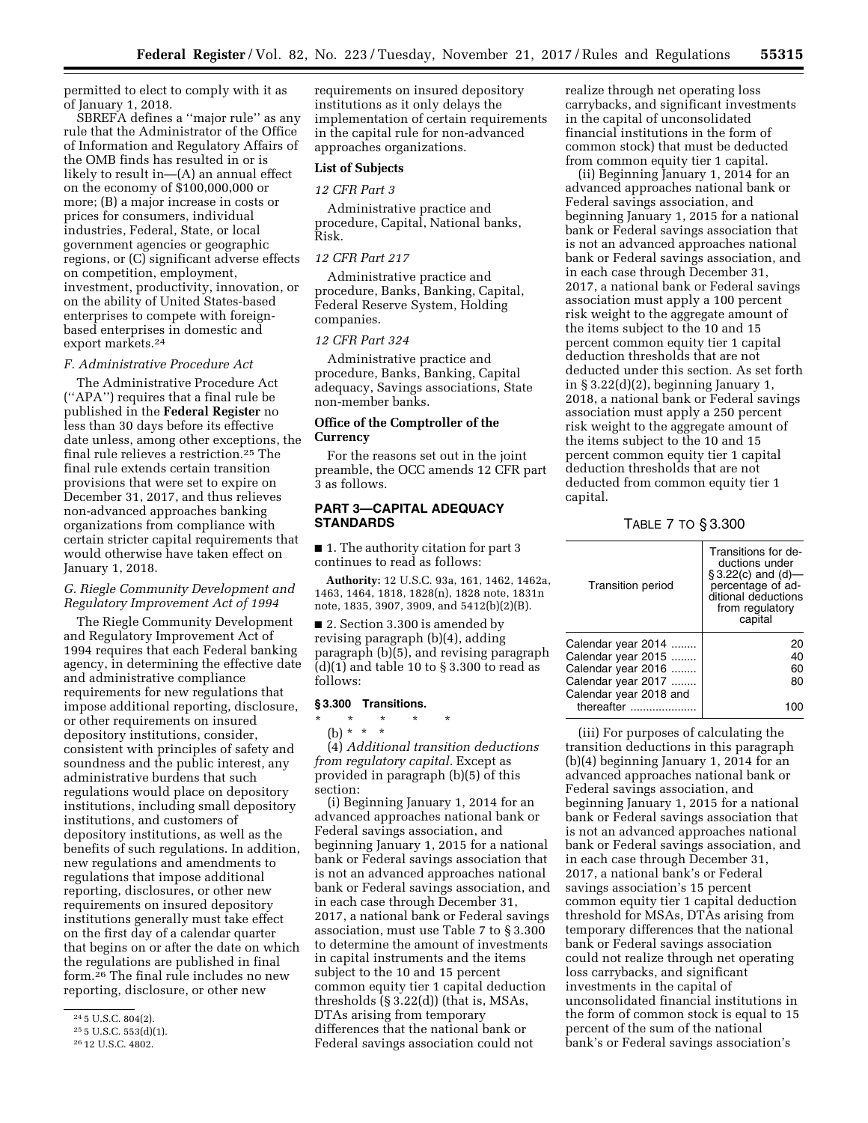permitted to elect to comply with it as of January 1, 2018.

SBREFA defines a ''major rule'' as any rule that the Administrator of the Office of Information and Regulatory Affairs of the OMB finds has resulted in or is likely to result in—(A) an annual effect on the economy of \$100,000,000 or more; (B) a major increase in costs or prices for consumers, individual industries, Federal, State, or local government agencies or geographic regions, or (C) significant adverse effects on competition, employment, investment, productivity, innovation, or on the ability of United States-based enterprises to compete with foreignbased enterprises in domestic and export markets.24

#### *F. Administrative Procedure Act*

The Administrative Procedure Act (''APA'') requires that a final rule be published in the **Federal Register** no less than 30 days before its effective date unless, among other exceptions, the final rule relieves a restriction.25 The final rule extends certain transition provisions that were set to expire on December 31, 2017, and thus relieves non-advanced approaches banking organizations from compliance with certain stricter capital requirements that would otherwise have taken effect on January 1, 2018.

# *G. Riegle Community Development and Regulatory Improvement Act of 1994*

The Riegle Community Development and Regulatory Improvement Act of 1994 requires that each Federal banking agency, in determining the effective date and administrative compliance requirements for new regulations that impose additional reporting, disclosure, or other requirements on insured depository institutions, consider, consistent with principles of safety and soundness and the public interest, any administrative burdens that such regulations would place on depository institutions, including small depository institutions, and customers of depository institutions, as well as the benefits of such regulations. In addition, new regulations and amendments to regulations that impose additional reporting, disclosures, or other new requirements on insured depository institutions generally must take effect on the first day of a calendar quarter that begins on or after the date on which the regulations are published in final form.26 The final rule includes no new reporting, disclosure, or other new

requirements on insured depository institutions as it only delays the implementation of certain requirements in the capital rule for non-advanced approaches organizations.

# **List of Subjects**

#### *12 CFR Part 3*

Administrative practice and procedure, Capital, National banks, Risk.

# *12 CFR Part 217*

Administrative practice and procedure, Banks, Banking, Capital, Federal Reserve System, Holding companies.

### *12 CFR Part 324*

Administrative practice and procedure, Banks, Banking, Capital adequacy, Savings associations, State non-member banks.

## **Office of the Comptroller of the Currency**

For the reasons set out in the joint preamble, the OCC amends 12 CFR part 3 as follows.

# **PART 3—CAPITAL ADEQUACY STANDARDS**

■ 1. The authority citation for part 3 continues to read as follows:

**Authority:** 12 U.S.C. 93a, 161, 1462, 1462a, 1463, 1464, 1818, 1828(n), 1828 note, 1831n note, 1835, 3907, 3909, and 5412(b)(2)(B).

■ 2. Section 3.300 is amended by revising paragraph (b)(4), adding paragraph (b)(5), and revising paragraph  $(d)(1)$  and table 10 to  $\S 3.300$  to read as follows:

#### **§ 3.300 Transitions.**

\* \* \* \* \*

(b) \* \* \*

(4) *Additional transition deductions from regulatory capital.* Except as provided in paragraph (b)(5) of this section:

(i) Beginning January 1, 2014 for an advanced approaches national bank or Federal savings association, and beginning January 1, 2015 for a national bank or Federal savings association that is not an advanced approaches national bank or Federal savings association, and in each case through December 31, 2017, a national bank or Federal savings association, must use Table 7 to § 3.300 to determine the amount of investments in capital instruments and the items subject to the 10 and 15 percent common equity tier 1 capital deduction thresholds (§ 3.22(d)) (that is, MSAs, DTAs arising from temporary differences that the national bank or Federal savings association could not

realize through net operating loss carrybacks, and significant investments in the capital of unconsolidated financial institutions in the form of common stock) that must be deducted from common equity tier 1 capital.

(ii) Beginning January 1, 2014 for an advanced approaches national bank or Federal savings association, and beginning January 1, 2015 for a national bank or Federal savings association that is not an advanced approaches national bank or Federal savings association, and in each case through December 31, 2017, a national bank or Federal savings association must apply a 100 percent risk weight to the aggregate amount of the items subject to the 10 and 15 percent common equity tier 1 capital deduction thresholds that are not deducted under this section. As set forth in  $\S 3.22(d)(2)$ , beginning January 1, 2018, a national bank or Federal savings association must apply a 250 percent risk weight to the aggregate amount of the items subject to the 10 and 15 percent common equity tier 1 capital deduction thresholds that are not deducted from common equity tier 1 capital.

TABLE 7 TO § 3.300

| <b>Transition period</b> | Transitions for de-<br>ductions under<br>$§ 3.22(c)$ and (d)-<br>percentage of ad-<br>ditional deductions<br>from regulatory<br>capital |
|--------------------------|-----------------------------------------------------------------------------------------------------------------------------------------|
| Calendar year 2014       | 20                                                                                                                                      |
| Calendar year 2015       | 40                                                                                                                                      |
| Calendar year 2016       | 60                                                                                                                                      |
| Calendar year 2017       | 80                                                                                                                                      |
| Calendar year 2018 and   |                                                                                                                                         |
| thereafter               |                                                                                                                                         |
|                          |                                                                                                                                         |

(iii) For purposes of calculating the transition deductions in this paragraph (b)(4) beginning January 1, 2014 for an advanced approaches national bank or Federal savings association, and beginning January 1, 2015 for a national bank or Federal savings association that is not an advanced approaches national bank or Federal savings association, and in each case through December 31, 2017, a national bank's or Federal savings association's 15 percent common equity tier 1 capital deduction threshold for MSAs, DTAs arising from temporary differences that the national bank or Federal savings association could not realize through net operating loss carrybacks, and significant investments in the capital of unconsolidated financial institutions in the form of common stock is equal to 15 percent of the sum of the national bank's or Federal savings association's

<sup>24</sup> 5 U.S.C. 804(2).

<sup>25</sup> 5 U.S.C. 553(d)(1).

<sup>26</sup> 12 U.S.C. 4802.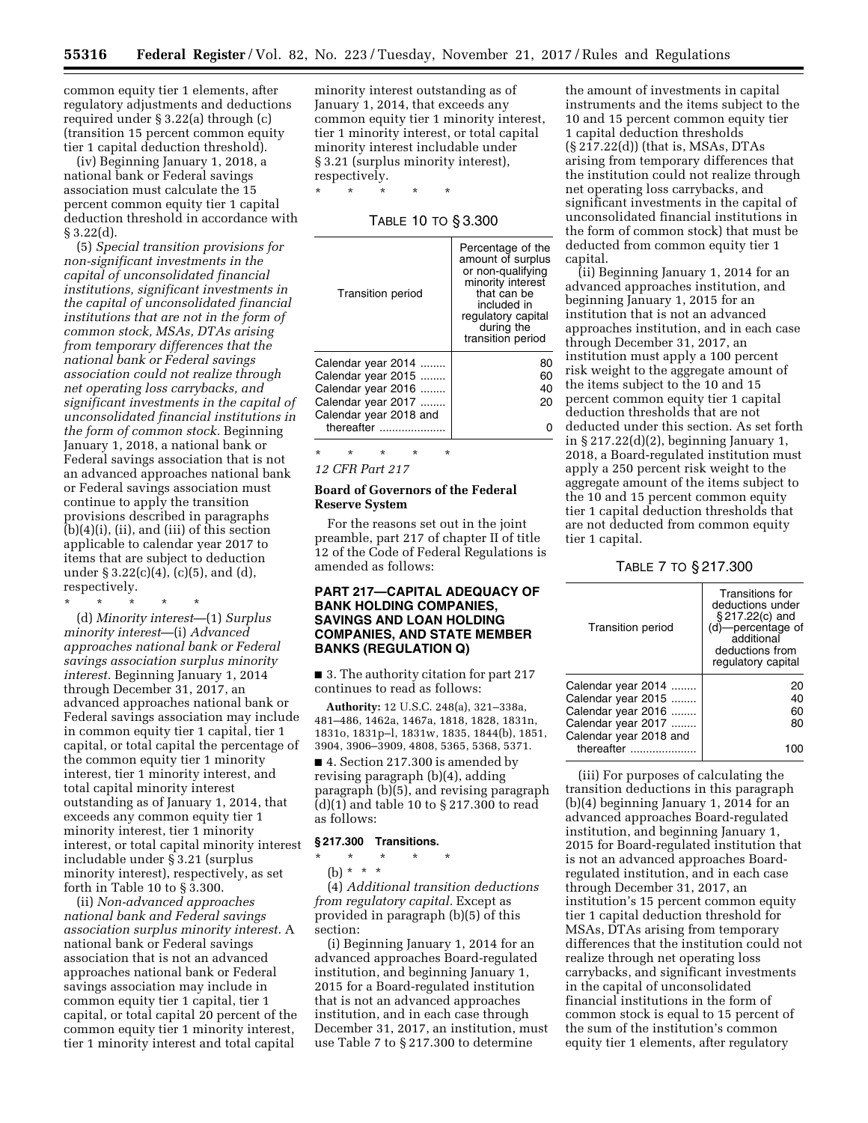\* \* \* \* \*

common equity tier 1 elements, after regulatory adjustments and deductions required under § 3.22(a) through (c) (transition 15 percent common equity tier 1 capital deduction threshold).

(iv) Beginning January 1, 2018, a national bank or Federal savings association must calculate the 15 percent common equity tier 1 capital deduction threshold in accordance with § 3.22(d).

(5) *Special transition provisions for non-significant investments in the capital of unconsolidated financial institutions, significant investments in the capital of unconsolidated financial institutions that are not in the form of common stock, MSAs, DTAs arising from temporary differences that the national bank or Federal savings association could not realize through net operating loss carrybacks, and significant investments in the capital of unconsolidated financial institutions in the form of common stock.* Beginning January 1, 2018, a national bank or Federal savings association that is not an advanced approaches national bank or Federal savings association must continue to apply the transition provisions described in paragraphs (b)(4)(i), (ii), and (iii) of this section applicable to calendar year 2017 to items that are subject to deduction under  $\S 3.22(c)(4)$ , (c)(5), and (d), respectively.

\* \* \* \* \* (d) *Minority interest*—(1) *Surplus minority interest*—(i) *Advanced approaches national bank or Federal savings association surplus minority interest.* Beginning January 1, 2014 through December 31, 2017, an advanced approaches national bank or Federal savings association may include in common equity tier 1 capital, tier 1 capital, or total capital the percentage of the common equity tier 1 minority interest, tier 1 minority interest, and total capital minority interest outstanding as of January 1, 2014, that exceeds any common equity tier 1 minority interest, tier 1 minority interest, or total capital minority interest includable under § 3.21 (surplus minority interest), respectively, as set forth in Table 10 to § 3.300.

(ii) *Non-advanced approaches national bank and Federal savings association surplus minority interest.* A national bank or Federal savings association that is not an advanced approaches national bank or Federal savings association may include in common equity tier 1 capital, tier 1 capital, or total capital 20 percent of the common equity tier 1 minority interest, tier 1 minority interest and total capital

minority interest outstanding as of January 1, 2014, that exceeds any common equity tier 1 minority interest, tier 1 minority interest, or total capital minority interest includable under § 3.21 (surplus minority interest), respectively.

TABLE 10 TO § 3.300

\* \* \* \* \*

*12 CFR Part 217* 

## **Board of Governors of the Federal Reserve System**

For the reasons set out in the joint preamble, part 217 of chapter II of title 12 of the Code of Federal Regulations is amended as follows:

# **PART 217—CAPITAL ADEQUACY OF BANK HOLDING COMPANIES, SAVINGS AND LOAN HOLDING COMPANIES, AND STATE MEMBER BANKS (REGULATION Q)**

■ 3. The authority citation for part 217 continues to read as follows:

**Authority:** 12 U.S.C. 248(a), 321–338a, 481–486, 1462a, 1467a, 1818, 1828, 1831n, 1831o, 1831p–l, 1831w, 1835, 1844(b), 1851, 3904, 3906–3909, 4808, 5365, 5368, 5371.

■ 4. Section 217.300 is amended by revising paragraph (b)(4), adding paragraph (b)(5), and revising paragraph (d)(1) and table 10 to § 217.300 to read as follows:

# **§ 217.300 Transitions.**

- \* \* \* \* \*
	- (b) \* \* \*

(4) *Additional transition deductions from regulatory capital.* Except as provided in paragraph (b)(5) of this section:

(i) Beginning January 1, 2014 for an advanced approaches Board-regulated institution, and beginning January 1, 2015 for a Board-regulated institution that is not an advanced approaches institution, and in each case through December 31, 2017, an institution, must use Table 7 to § 217.300 to determine

the amount of investments in capital instruments and the items subject to the 10 and 15 percent common equity tier 1 capital deduction thresholds (§ 217.22(d)) (that is, MSAs, DTAs arising from temporary differences that the institution could not realize through net operating loss carrybacks, and significant investments in the capital of unconsolidated financial institutions in the form of common stock) that must be deducted from common equity tier 1 capital.

(ii) Beginning January 1, 2014 for an advanced approaches institution, and beginning January 1, 2015 for an institution that is not an advanced approaches institution, and in each case through December 31, 2017, an institution must apply a 100 percent risk weight to the aggregate amount of the items subject to the 10 and 15 percent common equity tier 1 capital deduction thresholds that are not deducted under this section. As set forth in § 217.22(d)(2), beginning January 1, 2018, a Board-regulated institution must apply a 250 percent risk weight to the aggregate amount of the items subject to the 10 and 15 percent common equity tier 1 capital deduction thresholds that are not deducted from common equity tier 1 capital.

#### TABLE 7 TO § 217.300

| <b>Transition period</b>                                                                                                     | Transitions for<br>deductions under<br>§217.22(c) and<br>(d)-percentage of<br>additional<br>deductions from<br>regulatory capital |
|------------------------------------------------------------------------------------------------------------------------------|-----------------------------------------------------------------------------------------------------------------------------------|
| Calendar year 2014<br>Calendar year 2015<br>Calendar year 2016<br>Calendar year 2017<br>Calendar year 2018 and<br>thereafter | 20<br>40<br>60<br>80                                                                                                              |

(iii) For purposes of calculating the transition deductions in this paragraph (b)(4) beginning January 1, 2014 for an advanced approaches Board-regulated institution, and beginning January 1, 2015 for Board-regulated institution that is not an advanced approaches Boardregulated institution, and in each case through December 31, 2017, an institution's 15 percent common equity tier 1 capital deduction threshold for MSAs, DTAs arising from temporary differences that the institution could not realize through net operating loss carrybacks, and significant investments in the capital of unconsolidated financial institutions in the form of common stock is equal to 15 percent of the sum of the institution's common equity tier 1 elements, after regulatory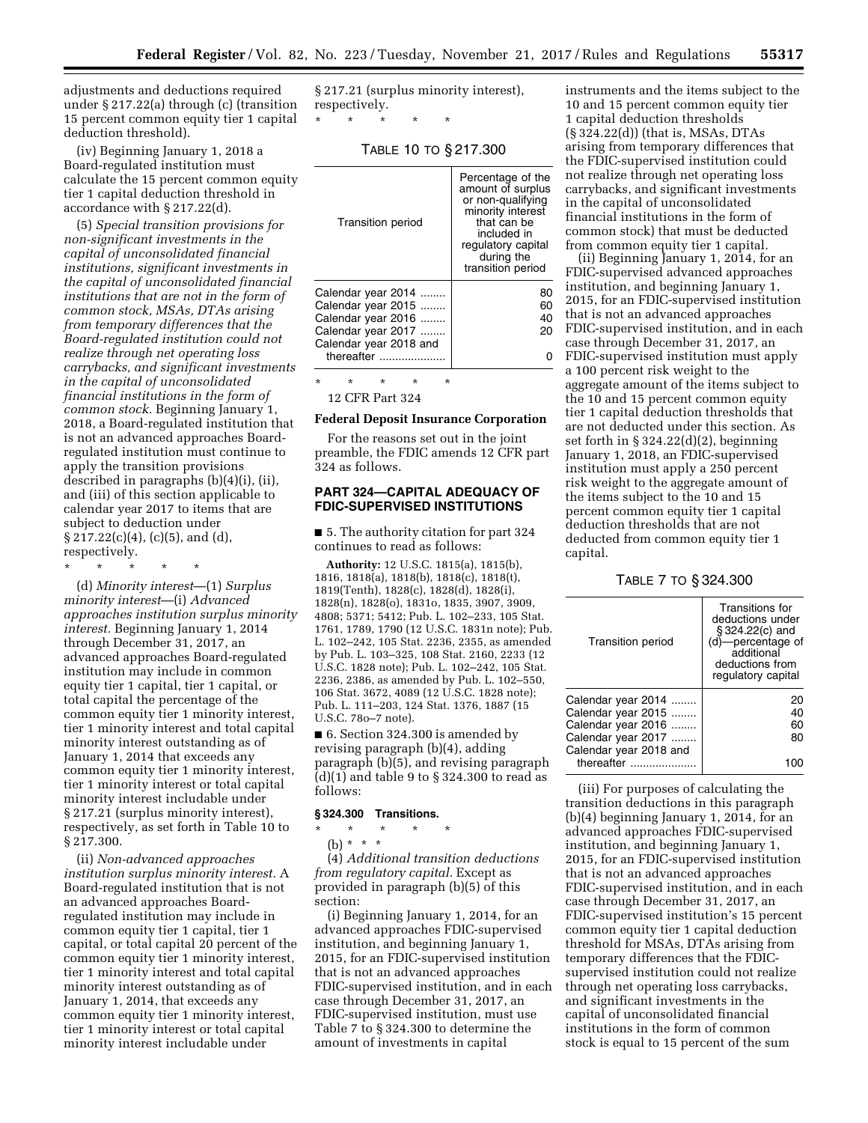adjustments and deductions required under § 217.22(a) through (c) (transition 15 percent common equity tier 1 capital deduction threshold).

(iv) Beginning January 1, 2018 a Board-regulated institution must calculate the 15 percent common equity tier 1 capital deduction threshold in accordance with § 217.22(d).

(5) *Special transition provisions for non-significant investments in the capital of unconsolidated financial institutions, significant investments in the capital of unconsolidated financial institutions that are not in the form of common stock, MSAs, DTAs arising from temporary differences that the Board-regulated institution could not realize through net operating loss carrybacks, and significant investments in the capital of unconsolidated financial institutions in the form of common stock.* Beginning January 1, 2018, a Board-regulated institution that is not an advanced approaches Boardregulated institution must continue to apply the transition provisions described in paragraphs (b)(4)(i), (ii), and (iii) of this section applicable to calendar year 2017 to items that are subject to deduction under  $\S 217.22(c)(4)$ , (c)(5), and (d), respectively.

\* \* \* \* \*

(d) *Minority interest*—(1) *Surplus minority interest*—(i) *Advanced approaches institution surplus minority interest.* Beginning January 1, 2014 through December 31, 2017, an advanced approaches Board-regulated institution may include in common equity tier 1 capital, tier 1 capital, or total capital the percentage of the common equity tier 1 minority interest, tier 1 minority interest and total capital minority interest outstanding as of January 1, 2014 that exceeds any common equity tier 1 minority interest, tier 1 minority interest or total capital minority interest includable under § 217.21 (surplus minority interest), respectively, as set forth in Table 10 to § 217.300.

(ii) *Non-advanced approaches institution surplus minority interest.* A Board-regulated institution that is not an advanced approaches Boardregulated institution may include in common equity tier 1 capital, tier 1 capital, or total capital 20 percent of the common equity tier 1 minority interest, tier 1 minority interest and total capital minority interest outstanding as of January 1, 2014, that exceeds any common equity tier 1 minority interest, tier 1 minority interest or total capital minority interest includable under

§ 217.21 (surplus minority interest), respectively.

\* \* \* \* \*

TABLE 10 TO § 217.300

| <b>Transition period</b> | Percentage of the<br>amount of surplus<br>or non-qualifying<br>minority interest<br>that can be<br>included in<br>regulatory capital<br>during the<br>transition period |
|--------------------------|-------------------------------------------------------------------------------------------------------------------------------------------------------------------------|
| Calendar year 2014       | 80                                                                                                                                                                      |
| Calendar year 2015       | 60                                                                                                                                                                      |
| Calendar year 2016       | 40                                                                                                                                                                      |
| Calendar year 2017       | 20                                                                                                                                                                      |
| Calendar year 2018 and   |                                                                                                                                                                         |
| thereafter               |                                                                                                                                                                         |
| $\star$<br>÷<br>÷<br>÷   | ÷                                                                                                                                                                       |

12 CFR Part 324

## **Federal Deposit Insurance Corporation**

For the reasons set out in the joint preamble, the FDIC amends 12 CFR part 324 as follows.

# **PART 324—CAPITAL ADEQUACY OF FDIC-SUPERVISED INSTITUTIONS**

■ 5. The authority citation for part 324 continues to read as follows:

**Authority:** 12 U.S.C. 1815(a), 1815(b), 1816, 1818(a), 1818(b), 1818(c), 1818(t), 1819(Tenth), 1828(c), 1828(d), 1828(i), 1828(n), 1828(o), 1831o, 1835, 3907, 3909, 4808; 5371; 5412; Pub. L. 102–233, 105 Stat. 1761, 1789, 1790 (12 U.S.C. 1831n note); Pub. L. 102–242, 105 Stat. 2236, 2355, as amended by Pub. L. 103–325, 108 Stat. 2160, 2233 (12 U.S.C. 1828 note); Pub. L. 102–242, 105 Stat. 2236, 2386, as amended by Pub. L. 102–550, 106 Stat. 3672, 4089 (12 U.S.C. 1828 note); Pub. L. 111–203, 124 Stat. 1376, 1887 (15 U.S.C. 78o–7 note).

■ 6. Section 324.300 is amended by revising paragraph (b)(4), adding paragraph (b)(5), and revising paragraph (d)(1) and table 9 to § 324.300 to read as follows:

#### **§ 324.300 Transitions.**

\* \* \* \* \* (b) \* \* \*

(4) *Additional transition deductions from regulatory capital.* Except as provided in paragraph (b)(5) of this section:

(i) Beginning January 1, 2014, for an advanced approaches FDIC-supervised institution, and beginning January 1, 2015, for an FDIC-supervised institution that is not an advanced approaches FDIC-supervised institution, and in each case through December 31, 2017, an FDIC-supervised institution, must use Table 7 to § 324.300 to determine the amount of investments in capital

instruments and the items subject to the 10 and 15 percent common equity tier 1 capital deduction thresholds (§ 324.22(d)) (that is, MSAs, DTAs arising from temporary differences that the FDIC-supervised institution could not realize through net operating loss carrybacks, and significant investments in the capital of unconsolidated financial institutions in the form of common stock) that must be deducted from common equity tier 1 capital.

(ii) Beginning January 1, 2014, for an FDIC-supervised advanced approaches institution, and beginning January 1, 2015, for an FDIC-supervised institution that is not an advanced approaches FDIC-supervised institution, and in each case through December 31, 2017, an FDIC-supervised institution must apply a 100 percent risk weight to the aggregate amount of the items subject to the 10 and 15 percent common equity tier 1 capital deduction thresholds that are not deducted under this section. As set forth in § 324.22(d)(2), beginning January 1, 2018, an FDIC-supervised institution must apply a 250 percent risk weight to the aggregate amount of the items subject to the 10 and 15 percent common equity tier 1 capital deduction thresholds that are not deducted from common equity tier 1 capital.

TABLE 7 TO § 324.300

| <b>Transition period</b> | Transitions for<br>deductions under<br>§324.22(c) and<br>(d)-percentage of<br>additional<br>deductions from<br>regulatory capital |
|--------------------------|-----------------------------------------------------------------------------------------------------------------------------------|
| Calendar year 2014       | 20                                                                                                                                |
| Calendar year 2015       | 40                                                                                                                                |
| Calendar year 2016       | 60                                                                                                                                |
| Calendar year 2017       | 80                                                                                                                                |
| Calendar year 2018 and   |                                                                                                                                   |
| thereafter               |                                                                                                                                   |
|                          |                                                                                                                                   |

(iii) For purposes of calculating the transition deductions in this paragraph (b)(4) beginning January 1, 2014, for an advanced approaches FDIC-supervised institution, and beginning January 1, 2015, for an FDIC-supervised institution that is not an advanced approaches FDIC-supervised institution, and in each case through December 31, 2017, an FDIC-supervised institution's 15 percent common equity tier 1 capital deduction threshold for MSAs, DTAs arising from temporary differences that the FDICsupervised institution could not realize through net operating loss carrybacks, and significant investments in the capital of unconsolidated financial institutions in the form of common stock is equal to 15 percent of the sum